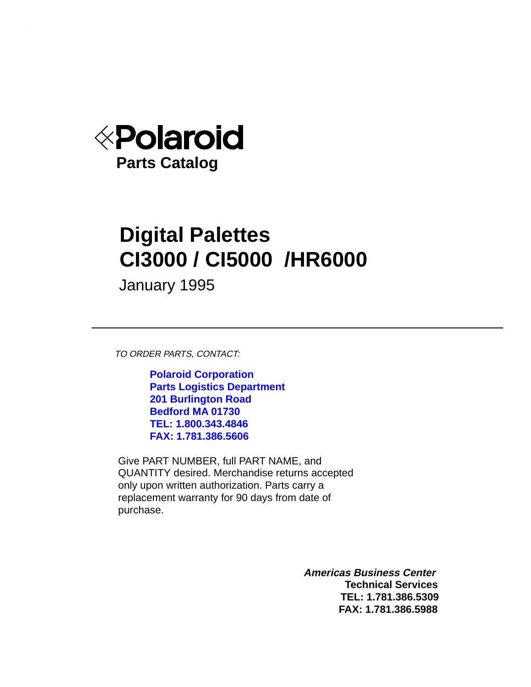

# **Digital Palettes CI3000 / CI5000 /HR6000**

January 1995

TO ORDER PARTS, CONTACT:

**Polaroid Corporation Parts Logistics Department 201 Burlington Road Bedford MA 01730 TEL: 1.800.343.4846 FAX: 1.781.386.5606**

Give PART NUMBER, full PART NAME, and QUANTITY desired. Merchandise returns accepted only upon written authorization. Parts carry a replacement warranty for 90 days from date of purchase.

> **Americas Business Center Technical Services TEL: 1.781.386.5309 FAX: 1.781.386.5988**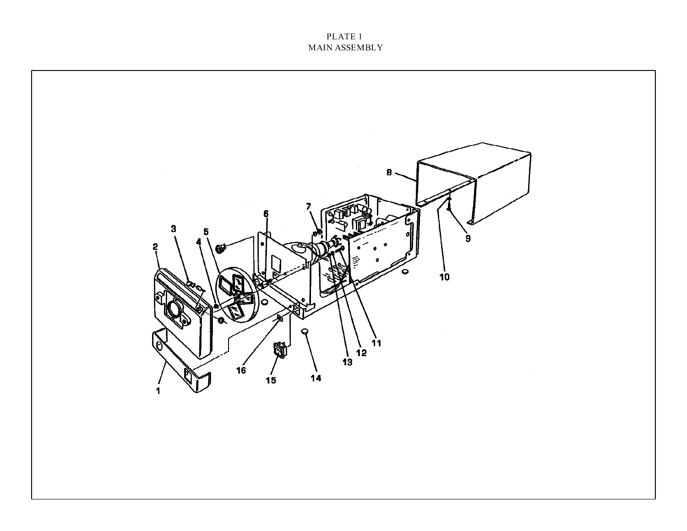**PLATE 1 MAIN ASSEMBLY**

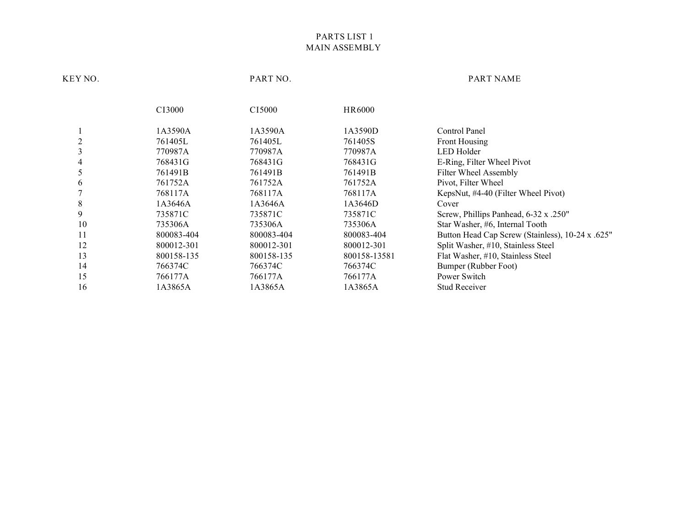# **PARTS LIST 1 MAIN ASSEMBLY**

# **KEY NO. PART NO. PART NAME**

|    | CI3000     | CI5000     | HR6000       |                                                  |
|----|------------|------------|--------------|--------------------------------------------------|
|    | 1A3590A    | 1A3590A    | 1A3590D      | Control Panel                                    |
|    | 761405L    | 761405L    | 761405S      | Front Housing                                    |
|    | 770987A    | 770987A    | 770987A      | LED Holder                                       |
| 4  | 768431G    | 768431G    | 768431G      | E-Ring, Filter Wheel Pivot                       |
|    | 761491B    | 761491B    | 761491B      | Filter Wheel Assembly                            |
| 6  | 761752A    | 761752A    | 761752A      | Pivot, Filter Wheel                              |
|    | 768117A    | 768117A    | 768117A      | KepsNut, $#4-40$ (Filter Wheel Pivot)            |
| 8  | 1A3646A    | 1A3646A    | 1A3646D      | Cover                                            |
| 9  | 735871C    | 735871C    | 735871C      | Screw, Phillips Panhead, 6-32 x .250"            |
| 10 | 735306A    | 735306A    | 735306A      | Star Washer, #6, Internal Tooth                  |
| 11 | 800083-404 | 800083-404 | 800083-404   | Button Head Cap Screw (Stainless), 10-24 x .625" |
| 12 | 800012-301 | 800012-301 | 800012-301   | Split Washer, #10, Stainless Steel               |
| 13 | 800158-135 | 800158-135 | 800158-13581 | Flat Washer, #10, Stainless Steel                |
| 14 | 766374C    | 766374C    | 766374C      | Bumper (Rubber Foot)                             |
| 15 | 766177A    | 766177A    | 766177A      | Power Switch                                     |
| 16 | 1A3865A    | 1A3865A    | 1A3865A      | <b>Stud Receiver</b>                             |
|    |            |            |              |                                                  |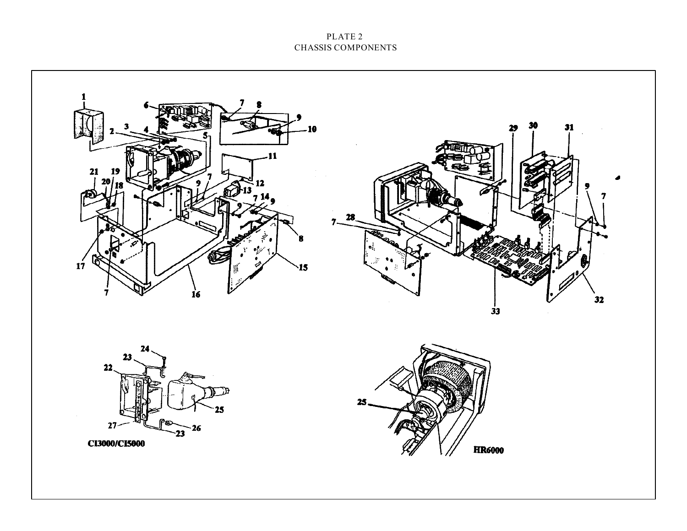# **PLATE 2 CHASSIS COMPONENTS**

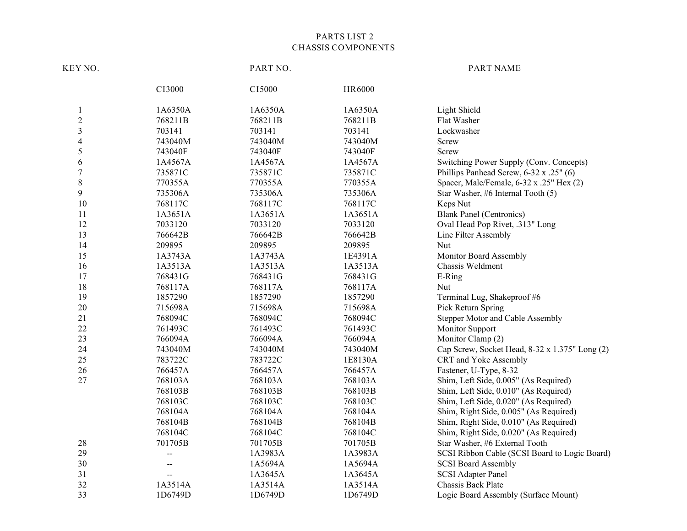# **PARTS LIST 2 CHASSIS COMPONENTS**

### **KEY NO. PART NO. PART NAME**

|                         | CI3000  | CI5000  | HR6000  |                                                |
|-------------------------|---------|---------|---------|------------------------------------------------|
| 1                       | 1A6350A | 1A6350A | 1A6350A | Light Shield                                   |
| $\mathfrak{2}$          | 768211B | 768211B | 768211B | Flat Washer                                    |
| $\overline{\mathbf{3}}$ | 703141  | 703141  | 703141  | Lockwasher                                     |
| 4                       | 743040M | 743040M | 743040M | Screw                                          |
| 5                       | 743040F | 743040F | 743040F | Screw                                          |
| 6                       | 1A4567A | 1A4567A | 1A4567A | Switching Power Supply (Conv. Concepts)        |
| 7                       | 735871C | 735871C | 735871C | Phillips Panhead Screw, 6-32 x .25" (6)        |
| 8                       | 770355A | 770355A | 770355A | Spacer, Male/Female, 6-32 x .25" Hex (2)       |
| 9                       | 735306A | 735306A | 735306A | Star Washer, #6 Internal Tooth (5)             |
| 10                      | 768117C | 768117C | 768117C | Keps Nut                                       |
| 11                      | 1A3651A | 1A3651A | 1A3651A | <b>Blank Panel (Centronics)</b>                |
| 12                      | 7033120 | 7033120 | 7033120 | Oval Head Pop Rivet, .313" Long                |
| 13                      | 766642B | 766642B | 766642B | Line Filter Assembly                           |
| 14                      | 209895  | 209895  | 209895  | Nut                                            |
| 15                      | 1A3743A | 1A3743A | 1E4391A | Monitor Board Assembly                         |
| 16                      | 1A3513A | 1A3513A | 1A3513A | Chassis Weldment                               |
| 17                      | 768431G | 768431G | 768431G | E-Ring                                         |
| 18                      | 768117A | 768117A | 768117A | Nut                                            |
| 19                      | 1857290 | 1857290 | 1857290 | Terminal Lug, Shakeproof #6                    |
| 20                      | 715698A | 715698A | 715698A | Pick Return Spring                             |
| 21                      | 768094C | 768094C | 768094C | Stepper Motor and Cable Assembly               |
| 22                      | 761493C | 761493C | 761493C | Monitor Support                                |
| 23                      | 766094A | 766094A | 766094A | Monitor Clamp (2)                              |
| 24                      | 743040M | 743040M | 743040M | Cap Screw, Socket Head, 8-32 x 1.375" Long (2) |
| 25                      | 783722C | 783722C | 1E8130A | CRT and Yoke Assembly                          |
| 26                      | 766457A | 766457A | 766457A | Fastener, U-Type, 8-32                         |
| 27                      | 768103A | 768103A | 768103A | Shim, Left Side, 0.005" (As Required)          |
|                         | 768103B | 768103B | 768103B | Shim, Left Side, 0.010" (As Required)          |
|                         | 768103C | 768103C | 768103C | Shim, Left Side, 0.020" (As Required)          |
|                         | 768104A | 768104A | 768104A | Shim, Right Side, 0.005" (As Required)         |
|                         | 768104B | 768104B | 768104B | Shim, Right Side, 0.010" (As Required)         |
|                         | 768104C | 768104C | 768104C | Shim, Right Side, 0.020" (As Required)         |
| 28                      | 701705B | 701705B | 701705B | Star Washer, #6 External Tooth                 |
| 29                      | --      | 1A3983A | 1A3983A | SCSI Ribbon Cable (SCSI Board to Logic Board)  |
| 30                      | $-$     | 1A5694A | 1A5694A | <b>SCSI Board Assembly</b>                     |
| 31                      | --      | 1A3645A | 1A3645A | <b>SCSI Adapter Panel</b>                      |
| 32                      | 1A3514A | 1A3514A | 1A3514A | Chassis Back Plate                             |
| 33                      | 1D6749D | 1D6749D | 1D6749D | Logic Board Assembly (Surface Mount)           |
|                         |         |         |         |                                                |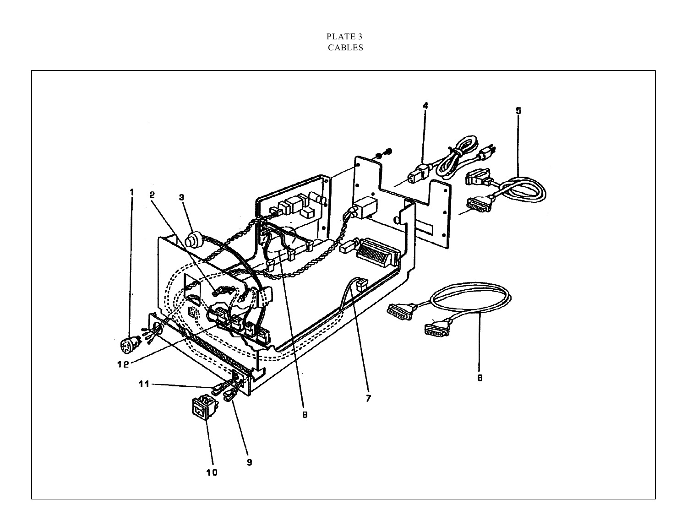**PLATE 3 CABLES**

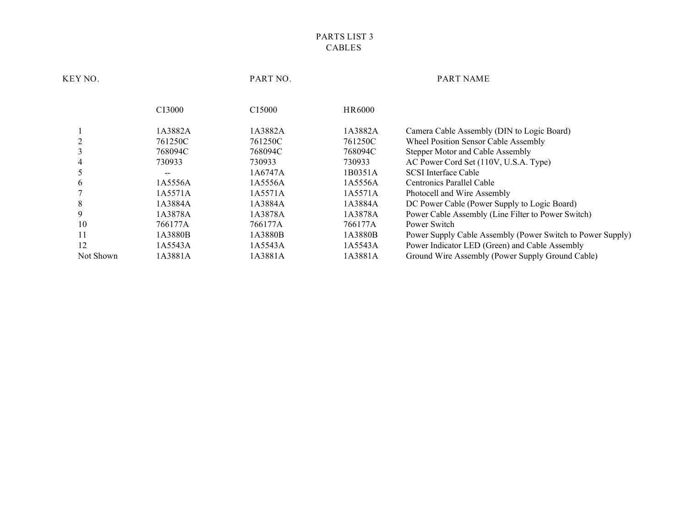#### **PARTS LIST 3 CABLES**

| KEY NO.      |                    | PART NO.           |         | <b>PART NAME</b>                                           |
|--------------|--------------------|--------------------|---------|------------------------------------------------------------|
|              | C <sub>13000</sub> | C <sub>15000</sub> | HR6000  |                                                            |
|              | 1A3882A            | 1A3882A            | 1A3882A | Camera Cable Assembly (DIN to Logic Board)                 |
|              | 761250C            | 761250C            | 761250C | <b>Wheel Position Sensor Cable Assembly</b>                |
|              | 768094C            | 768094C            | 768094C | Stepper Motor and Cable Assembly                           |
|              | 730933             | 730933             | 730933  | AC Power Cord Set (110V, U.S.A. Type)                      |
|              | $- -$              | 1A6747A            | 1B0351A | <b>SCSI</b> Interface Cable                                |
| <sub>0</sub> | 1A5556A            | 1A5556A            | 1A5556A | Centronics Parallel Cable                                  |
|              | 1A5571A            | 1A5571A            | 1A5571A | Photocell and Wire Assembly                                |
| 8            | 1A3884A            | 1A3884A            | 1A3884A | DC Power Cable (Power Supply to Logic Board)               |
| 9            | 1A3878A            | 1A3878A            | 1A3878A | Power Cable Assembly (Line Filter to Power Switch)         |
| 10           | 766177A            | 766177A            | 766177A | Power Switch                                               |
| 11           | 1A3880B            | 1A3880B            | 1A3880B | Power Supply Cable Assembly (Power Switch to Power Supply) |
| 12           | 1A5543A            | 1A5543A            | 1A5543A | Power Indicator LED (Green) and Cable Assembly             |
| Not Shown    | 1A3881A            | 1A3881A            | 1A3881A | Ground Wire Assembly (Power Supply Ground Cable)           |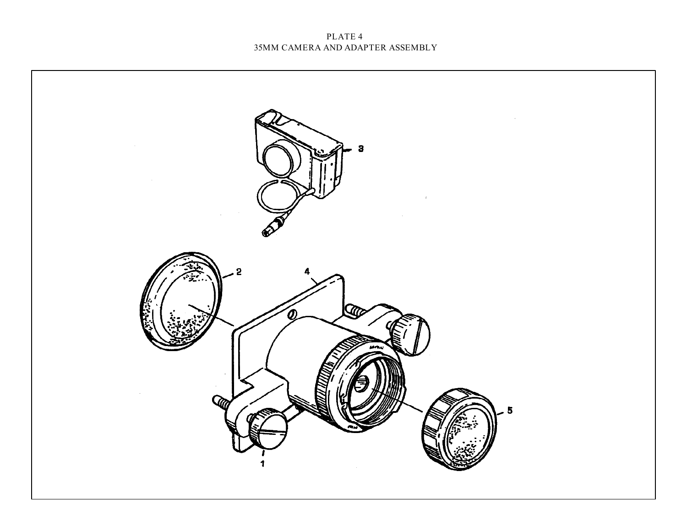# **PLATE 4 35MM CAMERA AND ADAPTER ASSEMBLY**

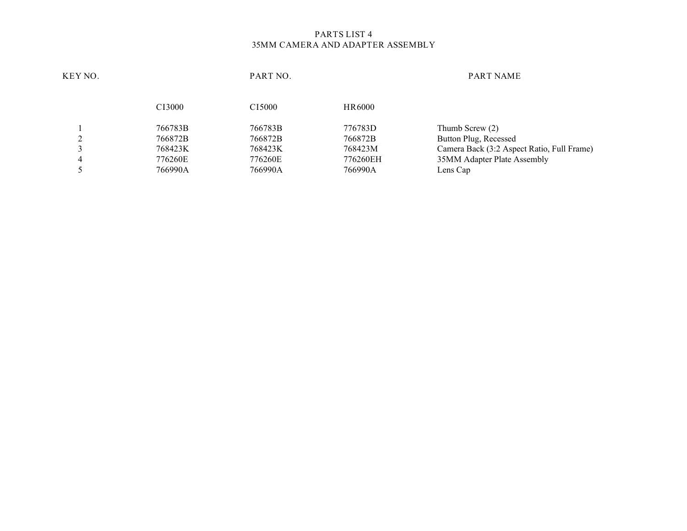#### **PARTS LIST 4 35MM CAMERA AND ADAPTER ASSEMBLY**

| KEY NO. |                    | PART NO.           |          | <b>PART NAME</b>                           |
|---------|--------------------|--------------------|----------|--------------------------------------------|
|         | C <sub>13000</sub> | C <sub>15000</sub> | HR6000   |                                            |
|         | 766783B            | 766783B            | 776783D  | Thumb Screw (2)                            |
| ◠<br>∠  | 766872B            | 766872B            | 766872B  | Button Plug, Recessed                      |
| 3       | 768423K            | 768423K            | 768423M  | Camera Back (3:2 Aspect Ratio, Full Frame) |
| 4       | 776260E            | 776260E            | 776260EH | 35MM Adapter Plate Assembly                |
|         | 766990A            | 766990A            | 766990A  | Lens Cap                                   |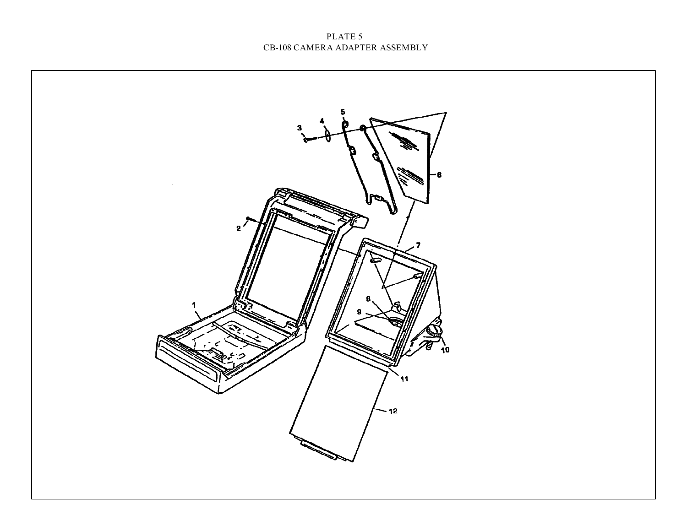# **PLATE 5 CB-108 CAMERA ADAPTER ASSEMBLY**

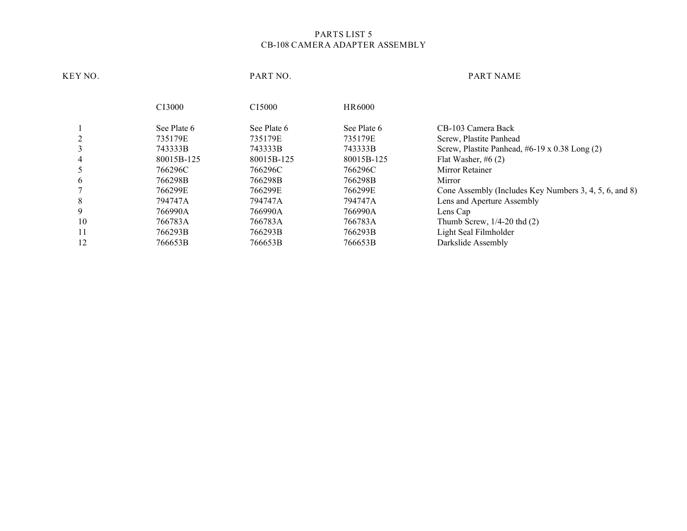#### **PARTS LIST 5 CB-108 CAMERA ADAPTER ASSEMBLY**

**KEY NO. PART NO. PART NAME CI3000 CI5000 HR6000** 1 See Plate 6 See Plate 6 See Plate 6 See Plate 6 CB-103 Camera Back 2 735179E 735179E 735179E 735179E Screw, Plastite Panhead 3 743333B 743333B 743333B Screw, Plastite Panhead, #6-19 x 0.38 Long (2) 4 80015B-125 80015B-125 80015B-125 Flat Washer, #6 (2) 5 766296C 766296C 766296C Mirror Retainer 6 766298B 766298B 766298B Mirror 7 766299E 766299E 766299E Cone Assembly (Includes Key Numbers 3, 4, 5, 6, and 8) 8 794747A 794747A 794747A 794747A Lens and Aperture Assembly 9 766990A 766990A 766990A Lens Cap 10 766783A 766783A 766783A Thumb Screw, 1/4-20 thd (2) 11 766293B 766293B 766293B Light Seal Filmholder 12 766653B 766653B 766653B 766653B Darkslide Assembly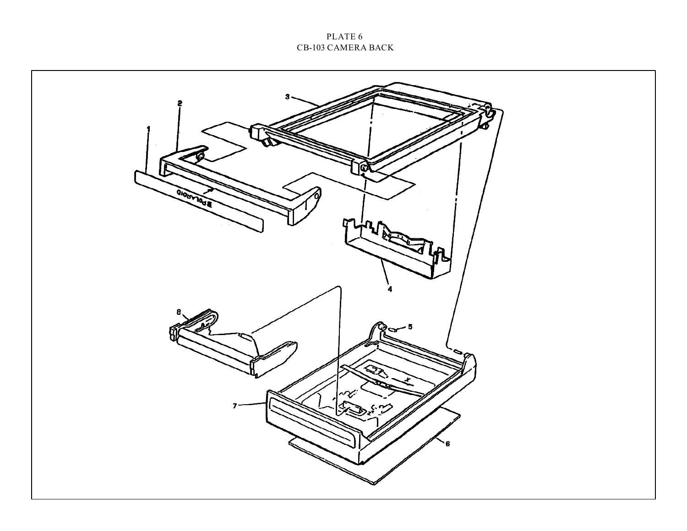# **PLATE 6 CB-103 CAMERA BACK**

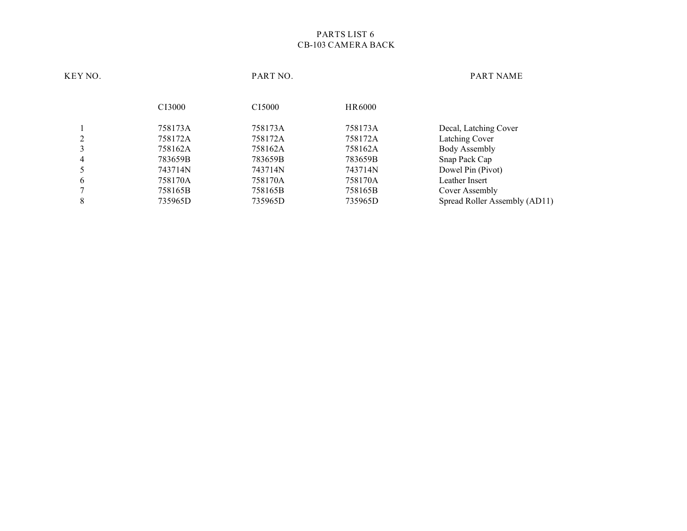#### **PARTS LIST 6 CB-103 CAMERA BACK**

| KEY NO.      |         | PART NO.           |         | <b>PART NAME</b>              |
|--------------|---------|--------------------|---------|-------------------------------|
|              | CI3000  | C <sub>15000</sub> | HR6000  |                               |
|              | 758173A | 758173A            | 758173A | Decal, Latching Cover         |
| ↑            | 758172A | 758172A            | 758172A | Latching Cover                |
| 3            | 758162A | 758162A            | 758162A | <b>Body Assembly</b>          |
| 4            | 783659B | 783659B            | 783659B | Snap Pack Cap                 |
| 5            | 743714N | 743714N            | 743714N | Dowel Pin (Pivot)             |
| 6            | 758170A | 758170A            | 758170A | Leather Insert                |
| $\mathbf{r}$ | 758165B | 758165B            | 758165B | Cover Assembly                |
| 8            | 735965D | 735965D            | 735965D | Spread Roller Assembly (AD11) |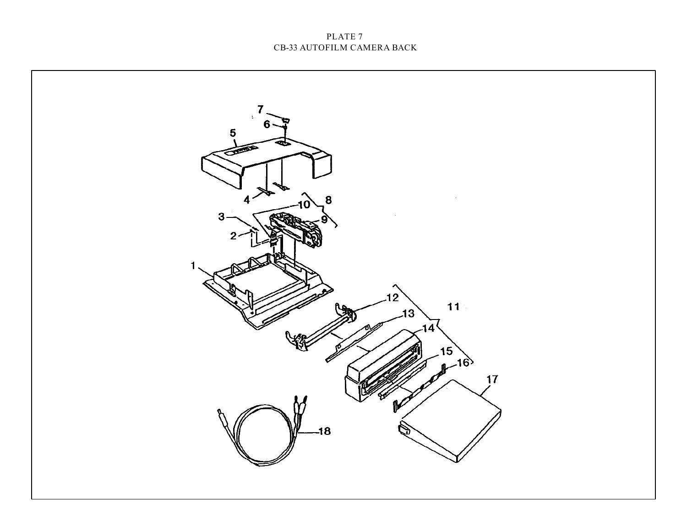# **PLATE 7 CB-33 AUTOFILM CAMERA BACK**

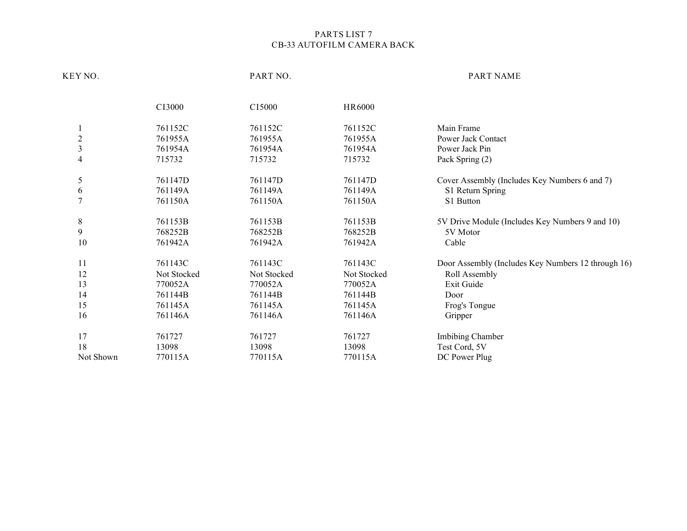#### **PARTS LIST 7 CB-33 AUTOFILM CAMERA BACK**

| KEY NO.                 |             | PART NO.    |             | PART NAME                                          |
|-------------------------|-------------|-------------|-------------|----------------------------------------------------|
|                         |             |             |             |                                                    |
|                         | CI3000      | CI5000      | HR6000      |                                                    |
|                         | 761152C     | 761152C     | 761152C     | Main Frame                                         |
| $\overline{c}$          | 761955A     | 761955A     | 761955A     | <b>Power Jack Contact</b>                          |
| $\overline{\mathbf{3}}$ | 761954A     | 761954A     | 761954A     | Power Jack Pin                                     |
| 4                       | 715732      | 715732      | 715732      | Pack Spring (2)                                    |
| 5                       | 761147D     | 761147D     | 761147D     | Cover Assembly (Includes Key Numbers 6 and 7)      |
| 6                       | 761149A     | 761149A     | 761149A     | S1 Return Spring                                   |
| $\overline{7}$          | 761150A     | 761150A     | 761150A     | S1 Button                                          |
| $8\,$                   | 761153B     | 761153B     | 761153B     | 5V Drive Module (Includes Key Numbers 9 and 10)    |
| 9                       | 768252B     | 768252B     | 768252B     | 5V Motor                                           |
| 10                      | 761942A     | 761942A     | 761942A     | Cable                                              |
| 11                      | 761143C     | 761143C     | 761143C     | Door Assembly (Includes Key Numbers 12 through 16) |
| 12                      | Not Stocked | Not Stocked | Not Stocked | Roll Assembly                                      |
| 13                      | 770052A     | 770052A     | 770052A     | Exit Guide                                         |
| 14                      | 761144B     | 761144B     | 761144B     | Door                                               |
| 15                      | 761145A     | 761145A     | 761145A     | Frog's Tongue                                      |
| 16                      | 761146A     | 761146A     | 761146A     | Gripper                                            |
| 17                      | 761727      | 761727      | 761727      | <b>Imbibing Chamber</b>                            |
| 18                      | 13098       | 13098       | 13098       | Test Cord, 5V                                      |
| Not Shown               | 770115A     | 770115A     | 770115A     | DC Power Plug                                      |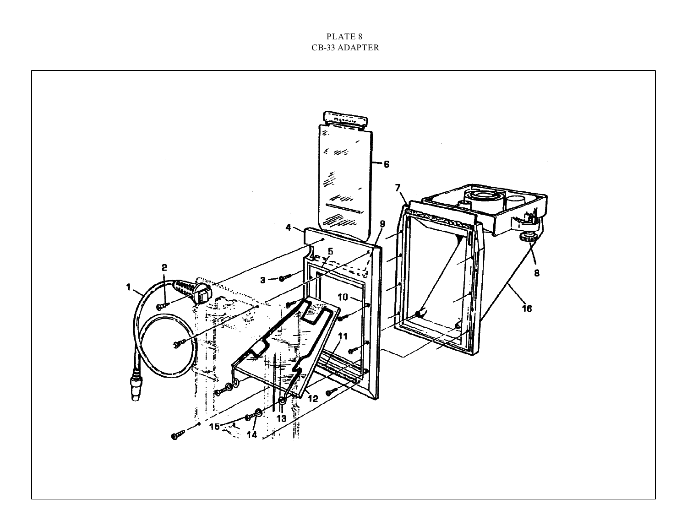**PLATE 8 CB-33 ADAPTER**

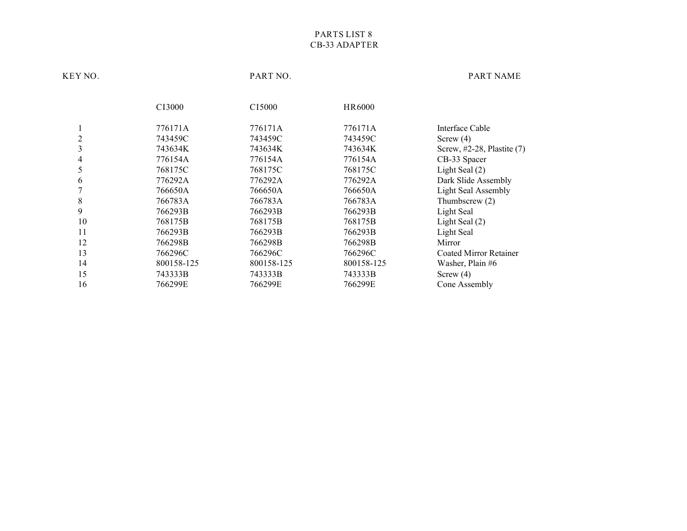### **PARTS LIST 8 CB-33 ADAPTER**

**KEY NO. PART NO. PART NAME**

|    | CI3000     | C <sub>15000</sub> | HR6000     |                            |
|----|------------|--------------------|------------|----------------------------|
|    | 776171A    | 776171A            | 776171A    | Interface Cable            |
|    | 743459C    | 743459C            | 743459C    | Screw $(4)$                |
|    | 743634K    | 743634K            | 743634K    | Screw, #2-28, Plastite (7) |
| 4  | 776154A    | 776154A            | 776154A    | CB-33 Spacer               |
| 5  | 768175C    | 768175C            | 768175C    | Light Seal (2)             |
| 6  | 776292A    | 776292A            | 776292A    | Dark Slide Assembly        |
|    | 766650A    | 766650A            | 766650A    | Light Seal Assembly        |
| 8  | 766783A    | 766783A            | 766783A    | Thumbscrew $(2)$           |
| 9  | 766293B    | 766293B            | 766293B    | Light Seal                 |
| 10 | 768175B    | 768175B            | 768175B    | Light Seal (2)             |
| 11 | 766293B    | 766293B            | 766293B    | Light Seal                 |
| 12 | 766298B    | 766298B            | 766298B    | Mirror                     |
| 13 | 766296C    | 766296C            | 766296C    | Coated Mirror Retainer     |
| 14 | 800158-125 | 800158-125         | 800158-125 | Washer, Plain #6           |
| 15 | 743333B    | 743333B            | 743333B    | Screw $(4)$                |
| 16 | 766299E    | 766299E            | 766299E    | Cone Assembly              |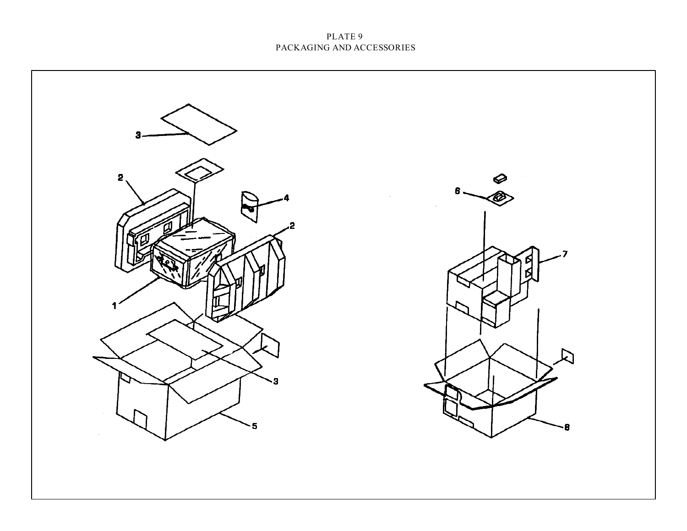# **PLATE 9 PACKAGING AND ACCESSORIES**

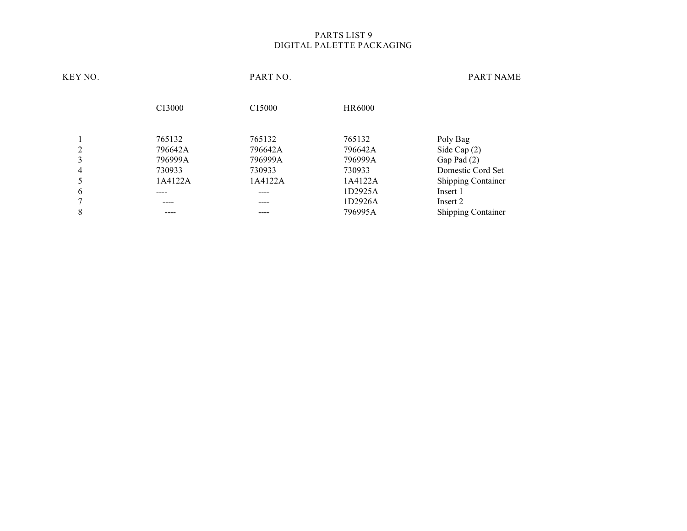# **PARTS LIST 9 DIGITAL PALETTE PACKAGING**

| KEY NO.        |         | PART NO.           |         | <b>PART NAME</b>          |
|----------------|---------|--------------------|---------|---------------------------|
|                | CI3000  | C <sub>15000</sub> | HR6000  |                           |
|                | 765132  | 765132             | 765132  | Poly Bag                  |
| $\overline{2}$ | 796642A | 796642A            | 796642A | Side Cap $(2)$            |
| 3              | 796999A | 796999A            | 796999A | Gap Pad (2)               |
| $\overline{4}$ | 730933  | 730933             | 730933  | Domestic Cord Set         |
| 5              | 1A4122A | 1A4122A            | 1A4122A | <b>Shipping Container</b> |
| 6              | ----    | ----               | 1D2925A | Insert 1                  |
| ~              | ----    | ----               | 1D2926A | Insert 2                  |
| 8              |         | ----               | 796995A | <b>Shipping Container</b> |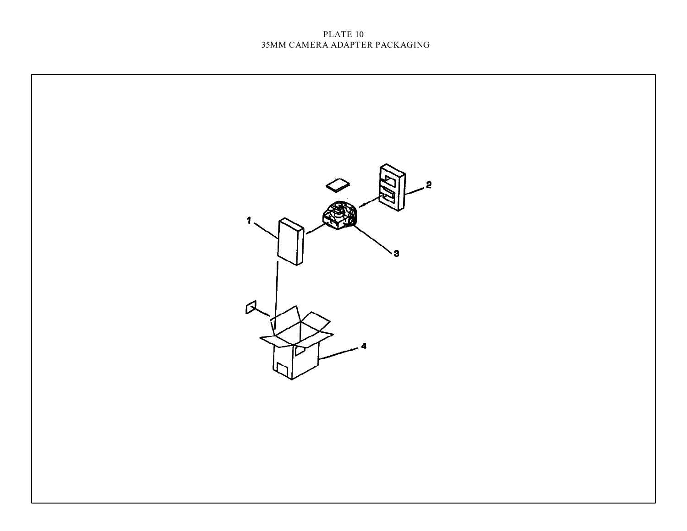### **PLATE 10 35MM CAMERA ADAPTER PACKAGING**

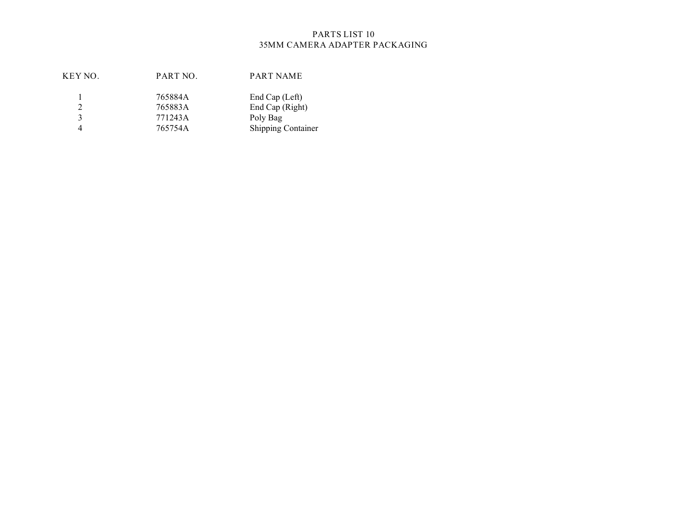# **PARTS LIST 10 35MM CAMERA ADAPTER PACKAGING**

| KEY NO. | PART NO. | PART NAME          |
|---------|----------|--------------------|
|         | 765884A  | End Cap (Left)     |
| 2       | 765883A  | End Cap (Right)    |
| 3       | 771243A  | Poly Bag           |
| 4       | 765754A  | Shipping Container |
|         |          |                    |